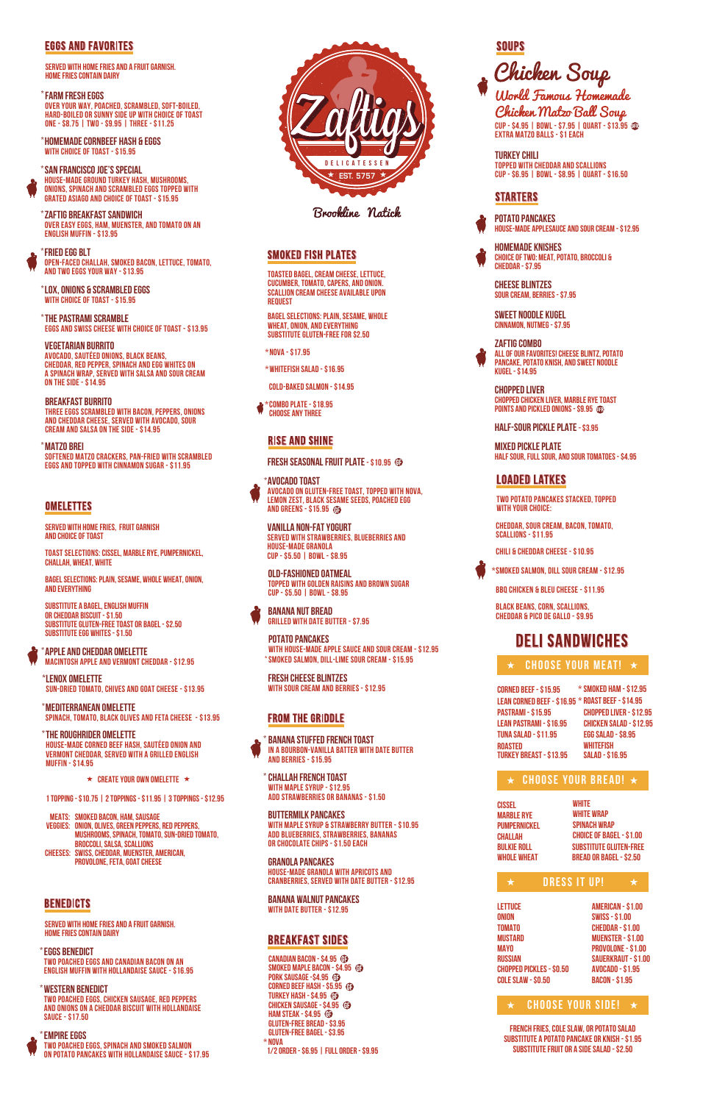

Brookline Natick

## **SMOKED FISH PLATES**

## **EGGS AND FAVORITES**

**served with home fries and a fruit garnish. Home fries contain dairy**

**BREAKFAST BURRITO Three eggs scrambled with bacon, peppers, onions and cheddar cheese, served with avocado, sour cream and salsa on the side - \$14.95**

## **MATZO BREI \***

**SOFTENed MATZO CRACKERS, PAN-FRIED WITH SCRAMBLED EGGS AND TOPPED WITH CINnAMON SUGAR - \$11.95**

## **OMELETTES**

**Zaftig Breakfast sandwich \* OVER EASY EGGS, HAM, MUENSTER, and TOMATO ON AN ENGLISH MUFFIN - \$13.95**

**THE PASTRAMI SCRAMBLE \* EGGS and SWISS CHEESE with choice of toast - \$13.95**

**SAN FRANCISCO JOE's SPECIAL \* House-made ground turkey hash, mushrooms, onions, spinach and scrambled eggs topped with grated asiago and choice of toast - \$15.95**

**FRIED EGG BLT \* open-faced challah, smoked bacon, lettuce, tomato, and two eggs your way - \$13.95** 

#### **Vegetarian Burrito**

**Avocado, Sautéed onions, black beans, cheddar, red pepper, spinach and egg whites on a spinach wrap, served with salsa and sour cream on the side - \$14.95** 

**FARM FRESH EGGS \* Over your way, poached, scrambled, soft-boiled, hard-boiled or sunny side up with choice of toast one - \$8.75 | two - \$9.95 | three - \$11.25**

**HOMEMADE CORNBEEF HASH & EGGS \* with choice of toast - \$15.95**

**LOX, ONIONS & SCRAMBLED EGGS \* with choice of toast - \$15.95**

> **Buttermilk Pancakes with maple syrup & strawberry butter - \$10.95 add blueberries, strawberries, bananas or chocolate chips - \$1.50 EACH**

**Granola Pancakes House-made Granola with Apricots and Cranberries, served with Date butter - \$12.95**

**Banana Walnut Pancakes with Date Butter - \$12.95**

## **BREAKFAST SIDES**

**Banana Stuffed French Toast In a bourbon-vanilla batter with date butter and berries - \$15.95 \***

**Challah French Toast \* with maple syrup - \$12.95 Add strawberries or bananas - \$1.50**

# **SOUPS**



**served with home fries and a fruit garnish. Home fries contain dairy**

#### **EMPIRE EGGS \* Two poached eggs, spinach and smoked salmon on potato pancakes with hollandaise sauce - \$17.95**

**EGGS BENEDICT \* Two poached eggs and canadian bacon on an english muffin with hollandaise sauce - \$16.95** 

**DGURT Served with strawberries, blueberries and house-made granola cup - \$5.50 | bowl - \$8.95**

**western BENEDICT \* two poached eggs, chicken sausage, red peppers and onions on a cheddar biscuit with hollandaise sauce - \$17.50**

**served with home fries, fruit garnish and choice of toast**

**toast selections: Cissel, Marble Rye, Pumpernickel, Challah, Wheat, White**

**substitute a Bagel, english muffin or cheddar biscuit - \$1.50 substitute gluten-free toast or bagel - \$2.50 substitute egg whites - \$1.50**

**Bagel Selections: Plain, sesame, WHOLE WHEAT, ONION, AND EVERYTHING**

**smoked bacon, ham, sausage Meats: onion, olives, green peppers, red peppers, Veggies: mushrooms, spinach, tomato, sun-dried tomato, broccoli, salsa, scallions Swiss, cheddar, muenster, American, Cheeses: provolone, feta, goat cheese**

**BENEDICTS** 

Chicken Matzo Ball Soup **CUP - \$4.95 | BOWL - \$7.95 | QUART - \$13.95 extra matzo balls - \$1 each**

**1 topping - \$10.75 | 2 toppings - \$11.95 | 3 toppings - \$12.95**

**ApplE and Cheddar OmelettE \* Macintosh Apple and Vermont Cheddar - \$12.95**

**Spinach, tomato, black olives and feta cheese - \$13.95 Mediterranean Omelette \***

**Sun-dried tomato, chives and goat cheese - \$13.95 Lenox Omelette \***

**The Roughrider Omelette \* House-made corned beef hash, sautéed onion and vermont cheddar, served with a grilled english muffin - \$14.95**

**★ CREATE YOUR OWN OMELETTE ★** 

**Toasted Bagel, cream cheese, lettuce, cucumber, tomato, capers, and onion. scallion cream cheese available upon request**

**Bagel selections: plain, sesame, whole wheat, onion, and everything substitute gluten-free for \$2.50**

**Cold-Baked Salmon - \$14.95** 

**\*Nova - \$17.95**

**\*Whitefish Salad - \$16.95**

**Choose any three \*Combo Plate - \$18.95** 

## **RISE AND SHINE**

**FRESH SEASONAL FRUIT PLATE - \$10.95 <sup>6</sup>** 

**Canadian Bacon - \$4.95 Smoked Maple Bacon - \$4.95 Pork Sausage -\$4.95 1/2 order - \$6.95 | Full order - \$9.95 \* Nova Gluten-Free Bread - \$3.95 Gluten-Free Bagel - \$3.95 Chicken Sausage - \$4.95 Ham Steak - \$4.95 Corned Beef Hash - \$5.95 Turkey Hash - \$4.95** 

**POTATO PANCAKES with house-made apple sauce and sour cream - \$12.95 smoked salmon, dill-lime sour cream - \$15.95 \***

**Old-Fashioned Oatmeal Topped with golden raisins and brown sugar cup - \$5.50 | Bowl - \$8.95**

**Banana Nut Bread Grilled with Date Butter - \$7.95**

# **\*avocado toast**

**REE TOAST, TOPPED WITH NOVA, LEMON SEEDS, POACHED EGG**  $\bigoplus$ 

| *AVOCADO TOAST              |
|-----------------------------|
| <b>AVOCADO ON GLUTEN-FI</b> |
| <b>LEMON ZEST. BLACK SE</b> |
| <b>AND GREENS - \$15.95</b> |
|                             |
| VANILLA NON-FAT YO          |
|                             |

**Fresh Cheese Blintzes with sour cream and berries - \$12.95**

## FROM THE GRIDDLE

**CHEESE BLINTZES SOUR CREAM, BERRIES - \$7.95**

**SWEET NOODLE KUGEL CINNAMON, NUTMEG - \$7.95**



**Homemade KNISHES CHOICE OF TWO: MEAT, POTATO, BROCCOLI & CHEDDAR - \$7.95** 

**ZAFTIG COMBO ALL OF OUR FAVORITES! CHEESE BLINTZ, POTATO PANCAKE, potato knish, and sweet noodle Kugel - \$14.95**

**half-sour pickle plate - \$3.95**

**mixed pickle plate half sour, full sour, and sour tomatoes - \$4.95**

# **LOADED LATKES**

**CHOPPED LIVER Chopped Chicken Liver, Marble Rye Toast Points and Pickled Onions - \$9.95**

**TWO POTATO PANCAKES STACKED, TOPPED WITH YOUR CHOICE:**

**CHEDDAR, SOUR CREAM, BACON, TOMATO, SCALLIONS - \$11.95**

**CHILI & CHEDDAR CHEESE - \$10.95**

**BBQ Chicken & Bleu Cheese - \$11.95**

**Black beans, corn, scallions, cheddar & pico de Gallo - \$9.95**

# **DELI SANDWICHES**

**\*SMOKED SALMON, DILL SOUR CREAM - \$12.95**

**turkey CHILI TOPPED WITH CHEDDAR AND scallions CUP - \$6.95 | BOWL - \$8.95 | QUART - \$16.50**

## **STARTERS**

**white**

**onion tomato mustard mayo russian**

**Chopped pickles - \$0.50 cole slaw - \$0.50 american - \$1.00 swiss - \$1.00 cheddar - \$1.00 muenster - \$1.00 provolone - \$1.00 sauerkraut - \$1.00 avocado - \$1.95 bacon - \$1.95**

**Corned Beef - \$15.95 Lean Corned Beef - \$16.95 \* roast beef - \$14.95 PASTRAMI - \$15.95 LEan PAstrami - \$16.95 roasted Turkey Breast - \$13.95 TUNA SALAD - \$11.95 Chopped Liver - \$12.95 CHICKEN SALAD - \$12.95 EGG SALAD - \$8.95 \*SMoked Ham - \$12.95 whitefish salad - \$16.95**

| <b>CISSEL</b><br><b>MARBLE RYE</b><br><b>PUMPERNICKEL</b><br><b>CHALLAH</b><br><b>BULKIE ROLL</b><br><b><i>WHOLE WHEAT</i></b> |                     | <b>WHITE</b> | <b>WHITE WRAP</b><br><b>SPINACH WRAP</b> | <b>CHOICE OF BAGEL - \$1.00</b><br><b>SUBSTITUTE GLUTEN-FREE</b><br><b>BREAD OR BAGEL - \$2.50</b> |
|--------------------------------------------------------------------------------------------------------------------------------|---------------------|--------------|------------------------------------------|----------------------------------------------------------------------------------------------------|
| $\star$                                                                                                                        | <b>DRESS IT UP!</b> |              |                                          |                                                                                                    |
| <b>LETTUCE</b>                                                                                                                 |                     |              |                                          | <b>AMERICAN - \$1.00</b>                                                                           |

**french fries, cole slaw, or potato salad substitute a potato pancake or knish - \$1.95 substitute fruit or a side salad - \$2.50**

## **choose your meat!**

## **choose your bread!**

## **choose your side!**